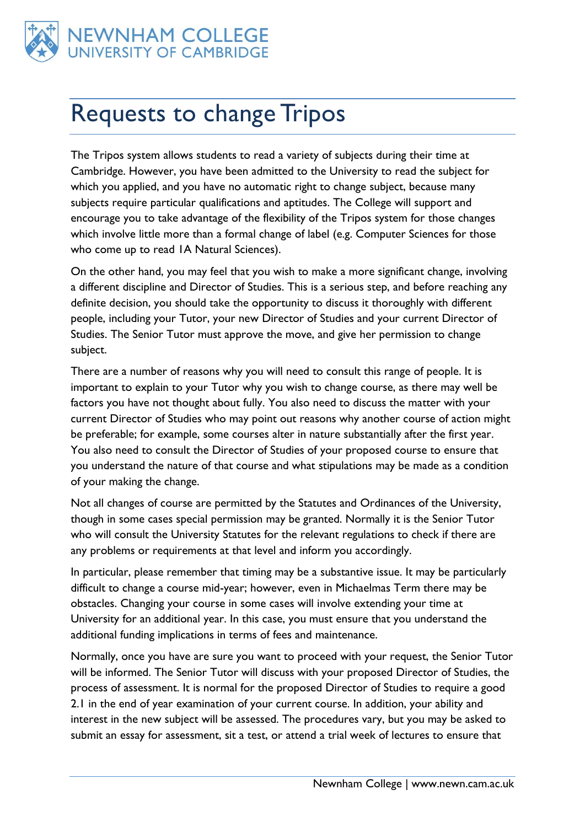

## Requests to change Tripos

The Tripos system allows students to read a variety of subjects during their time at Cambridge. However, you have been admitted to the University to read the subject for which you applied, and you have no automatic right to change subject, because many subjects require particular qualifications and aptitudes. The College will support and encourage you to take advantage of the flexibility of the Tripos system for those changes which involve little more than a formal change of label (e.g. Computer Sciences for those who come up to read IA Natural Sciences).

On the other hand, you may feel that you wish to make a more significant change, involving a different discipline and Director of Studies. This is a serious step, and before reaching any definite decision, you should take the opportunity to discuss it thoroughly with different people, including your Tutor, your new Director of Studies and your current Director of Studies. The Senior Tutor must approve the move, and give her permission to change subject.

There are a number of reasons why you will need to consult this range of people. It is important to explain to your Tutor why you wish to change course, as there may well be factors you have not thought about fully. You also need to discuss the matter with your current Director of Studies who may point out reasons why another course of action might be preferable; for example, some courses alter in nature substantially after the first year. You also need to consult the Director of Studies of your proposed course to ensure that you understand the nature of that course and what stipulations may be made as a condition of your making the change.

Not all changes of course are permitted by the Statutes and Ordinances of the University, though in some cases special permission may be granted. Normally it is the Senior Tutor who will consult the University Statutes for the relevant regulations to check if there are any problems or requirements at that level and inform you accordingly.

In particular, please remember that timing may be a substantive issue. It may be particularly difficult to change a course mid-year; however, even in Michaelmas Term there may be obstacles. Changing your course in some cases will involve extending your time at University for an additional year. In this case, you must ensure that you understand the additional funding implications in terms of fees and maintenance.

Normally, once you have are sure you want to proceed with your request, the Senior Tutor will be informed. The Senior Tutor will discuss with your proposed Director of Studies, the process of assessment. It is normal for the proposed Director of Studies to require a good 2.1 in the end of year examination of your current course. In addition, your ability and interest in the new subject will be assessed. The procedures vary, but you may be asked to submit an essay for assessment, sit a test, or attend a trial week of lectures to ensure that